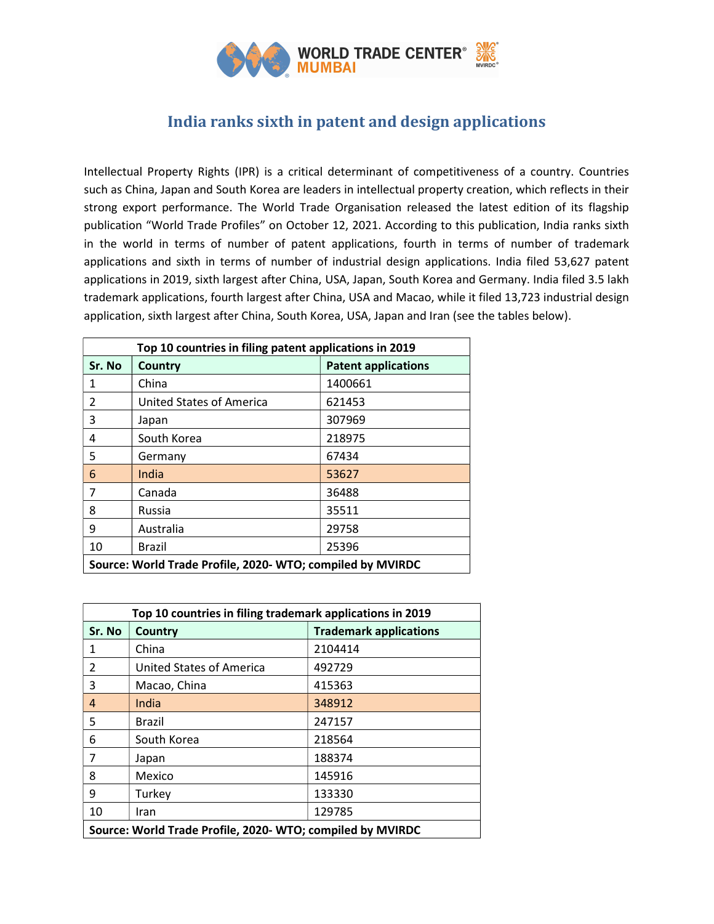

# India ranks sixth in patent and design applications

Intellectual Property Rights (IPR) is a critical determinant of competitiveness of a country. Countries such as China, Japan and South Korea are leaders in intellectual property creation, which reflects in their strong export performance. The World Trade Organisation released the latest edition of its flagship publication "World Trade Profiles" on October 12, 2021. According to this publication, India ranks sixth in the world in terms of number of patent applications, fourth in terms of number of trademark applications and sixth in terms of number of industrial design applications. India filed 53,627 patent applications in 2019, sixth largest after China, USA, Japan, South Korea and Germany. India filed 3.5 lakh trademark applications, fourth largest after China, USA and Macao, while it filed 13,723 industrial design application, sixth largest after China, South Korea, USA, Japan and Iran (see the tables below).

| Top 10 countries in filing patent applications in 2019     |                                 |                            |  |  |
|------------------------------------------------------------|---------------------------------|----------------------------|--|--|
| Sr. No                                                     | Country                         | <b>Patent applications</b> |  |  |
| 1                                                          | China                           | 1400661                    |  |  |
| $\mathfrak{p}$                                             | <b>United States of America</b> | 621453                     |  |  |
| 3                                                          | Japan                           | 307969                     |  |  |
| 4                                                          | South Korea                     | 218975                     |  |  |
| 5                                                          | Germany                         | 67434                      |  |  |
| 6                                                          | India                           | 53627                      |  |  |
| 7                                                          | Canada                          | 36488                      |  |  |
| 8                                                          | <b>Russia</b>                   | 35511                      |  |  |
| 9                                                          | Australia                       | 29758                      |  |  |
| 10                                                         | Brazil                          | 25396                      |  |  |
| Source: World Trade Profile, 2020- WTO; compiled by MVIRDC |                                 |                            |  |  |

| Top 10 countries in filing trademark applications in 2019  |                          |                               |  |
|------------------------------------------------------------|--------------------------|-------------------------------|--|
| Sr. No                                                     | Country                  | <b>Trademark applications</b> |  |
| 1                                                          | China                    | 2104414                       |  |
| $\mathcal{P}$                                              | United States of America | 492729                        |  |
| 3                                                          | Macao, China             | 415363                        |  |
| 4                                                          | India                    | 348912                        |  |
| 5                                                          | Brazil                   | 247157                        |  |
| 6                                                          | South Korea              | 218564                        |  |
| 7                                                          | Japan                    | 188374                        |  |
| 8                                                          | Mexico                   | 145916                        |  |
| 9                                                          | Turkey                   | 133330                        |  |
| 10                                                         | Iran                     | 129785                        |  |
| Source: World Trade Profile, 2020- WTO; compiled by MVIRDC |                          |                               |  |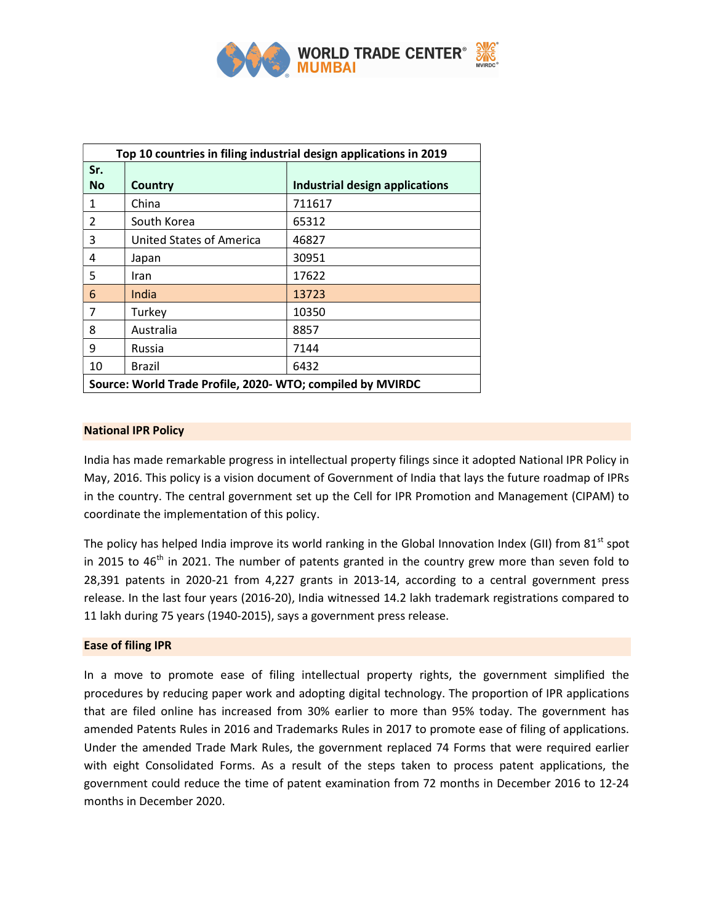

| Top 10 countries in filing industrial design applications in 2019 |                                 |                                       |  |
|-------------------------------------------------------------------|---------------------------------|---------------------------------------|--|
| Sr.<br><b>No</b>                                                  | <b>Country</b>                  | <b>Industrial design applications</b> |  |
| $\mathbf{1}$                                                      | China                           | 711617                                |  |
| 2                                                                 | South Korea                     | 65312                                 |  |
| 3                                                                 | <b>United States of America</b> | 46827                                 |  |
| 4                                                                 | Japan                           | 30951                                 |  |
| 5                                                                 | Iran                            | 17622                                 |  |
| 6                                                                 | India                           | 13723                                 |  |
| 7                                                                 | Turkey                          | 10350                                 |  |
| 8                                                                 | Australia                       | 8857                                  |  |
| 9                                                                 | Russia                          | 7144                                  |  |
| 10                                                                | Brazil                          | 6432                                  |  |
| Source: World Trade Profile, 2020- WTO; compiled by MVIRDC        |                                 |                                       |  |

## National IPR Policy

India has made remarkable progress in intellectual property filings since it adopted National IPR Policy in May, 2016. This policy is a vision document of Government of India that lays the future roadmap of IPRs in the country. The central government set up the Cell for IPR Promotion and Management (CIPAM) to coordinate the implementation of this policy.

The policy has helped India improve its world ranking in the Global Innovation Index (GII) from 81<sup>st</sup> spot in 2015 to  $46<sup>th</sup>$  in 2021. The number of patents granted in the country grew more than seven fold to 28,391 patents in 2020-21 from 4,227 grants in 2013-14, according to a central government press release. In the last four years (2016-20), India witnessed 14.2 lakh trademark registrations compared to 11 lakh during 75 years (1940-2015), says a government press release.

#### Ease of filing IPR

In a move to promote ease of filing intellectual property rights, the government simplified the procedures by reducing paper work and adopting digital technology. The proportion of IPR applications that are filed online has increased from 30% earlier to more than 95% today. The government has amended Patents Rules in 2016 and Trademarks Rules in 2017 to promote ease of filing of applications. Under the amended Trade Mark Rules, the government replaced 74 Forms that were required earlier with eight Consolidated Forms. As a result of the steps taken to process patent applications, the government could reduce the time of patent examination from 72 months in December 2016 to 12-24 months in December 2020.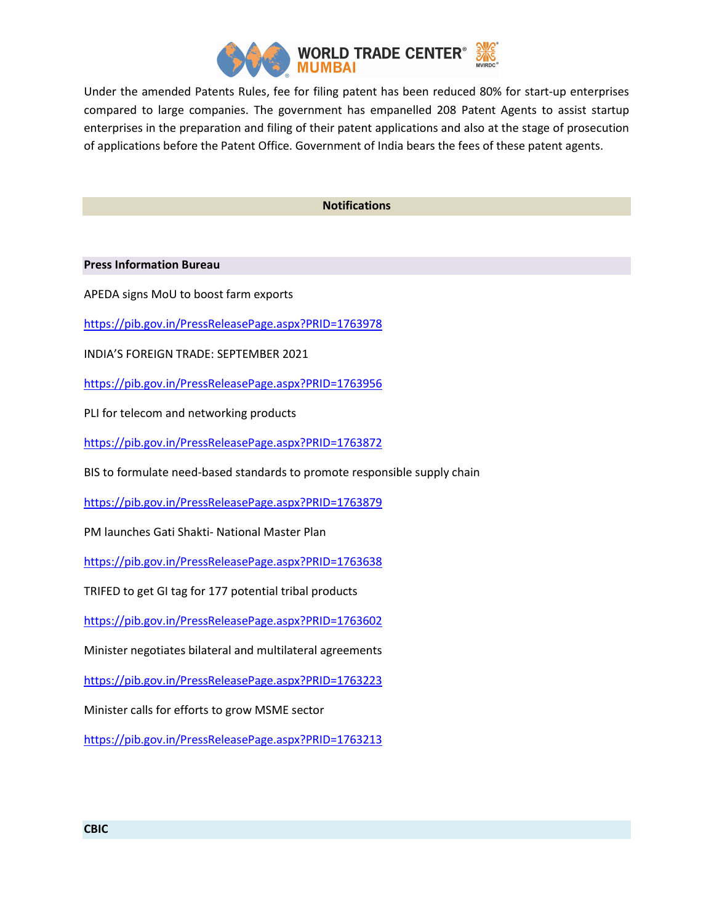

Under the amended Patents Rules, fee for filing patent has been reduced 80% for start-up enterprises compared to large companies. The government has empanelled 208 Patent Agents to assist startup enterprises in the preparation and filing of their patent applications and also at the stage of prosecution of applications before the Patent Office. Government of India bears the fees of these patent agents.

## Notifications

Press Information Bureau

APEDA signs MoU to boost farm exports

https://pib.gov.in/PressReleasePage.aspx?PRID=1763978

INDIA'S FOREIGN TRADE: SEPTEMBER 2021

https://pib.gov.in/PressReleasePage.aspx?PRID=1763956

PLI for telecom and networking products

https://pib.gov.in/PressReleasePage.aspx?PRID=1763872

BIS to formulate need-based standards to promote responsible supply chain

https://pib.gov.in/PressReleasePage.aspx?PRID=1763879

PM launches Gati Shakti- National Master Plan

https://pib.gov.in/PressReleasePage.aspx?PRID=1763638

TRIFED to get GI tag for 177 potential tribal products

https://pib.gov.in/PressReleasePage.aspx?PRID=1763602

Minister negotiates bilateral and multilateral agreements

https://pib.gov.in/PressReleasePage.aspx?PRID=1763223

Minister calls for efforts to grow MSME sector

https://pib.gov.in/PressReleasePage.aspx?PRID=1763213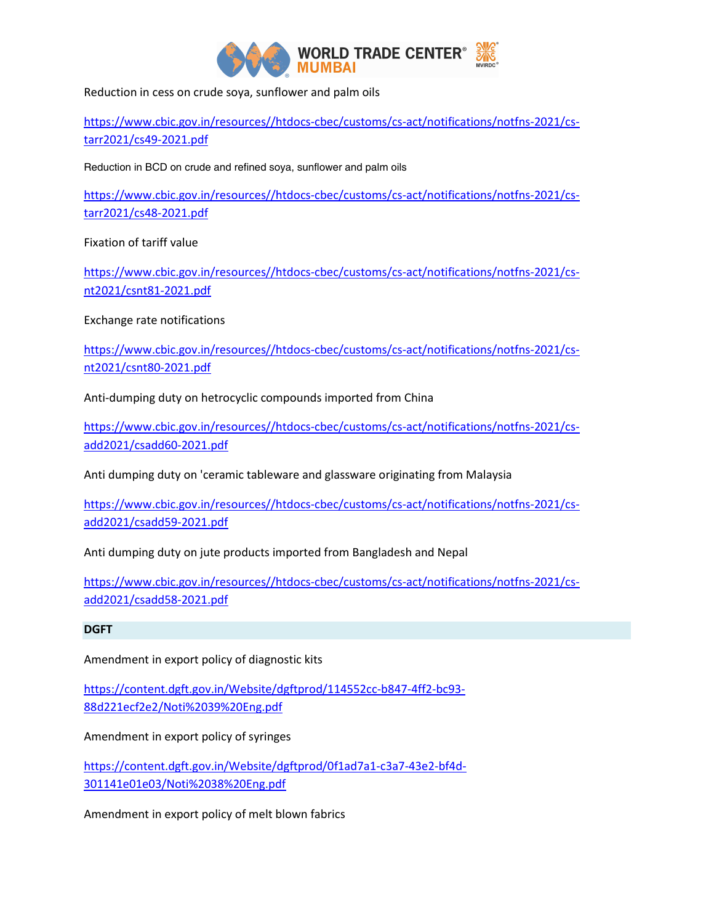

Reduction in cess on crude soya, sunflower and palm oils

https://www.cbic.gov.in/resources//htdocs-cbec/customs/cs-act/notifications/notfns-2021/cstarr2021/cs49-2021.pdf

Reduction in BCD on crude and refined soya, sunflower and palm oils

https://www.cbic.gov.in/resources//htdocs-cbec/customs/cs-act/notifications/notfns-2021/cstarr2021/cs48-2021.pdf

Fixation of tariff value

https://www.cbic.gov.in/resources//htdocs-cbec/customs/cs-act/notifications/notfns-2021/csnt2021/csnt81-2021.pdf

Exchange rate notifications

https://www.cbic.gov.in/resources//htdocs-cbec/customs/cs-act/notifications/notfns-2021/csnt2021/csnt80-2021.pdf

Anti-dumping duty on hetrocyclic compounds imported from China

https://www.cbic.gov.in/resources//htdocs-cbec/customs/cs-act/notifications/notfns-2021/csadd2021/csadd60-2021.pdf

Anti dumping duty on 'ceramic tableware and glassware originating from Malaysia

https://www.cbic.gov.in/resources//htdocs-cbec/customs/cs-act/notifications/notfns-2021/csadd2021/csadd59-2021.pdf

Anti dumping duty on jute products imported from Bangladesh and Nepal

https://www.cbic.gov.in/resources//htdocs-cbec/customs/cs-act/notifications/notfns-2021/csadd2021/csadd58-2021.pdf

# DGFT

Amendment in export policy of diagnostic kits

https://content.dgft.gov.in/Website/dgftprod/114552cc-b847-4ff2-bc93- 88d221ecf2e2/Noti%2039%20Eng.pdf

Amendment in export policy of syringes

https://content.dgft.gov.in/Website/dgftprod/0f1ad7a1-c3a7-43e2-bf4d-301141e01e03/Noti%2038%20Eng.pdf

Amendment in export policy of melt blown fabrics